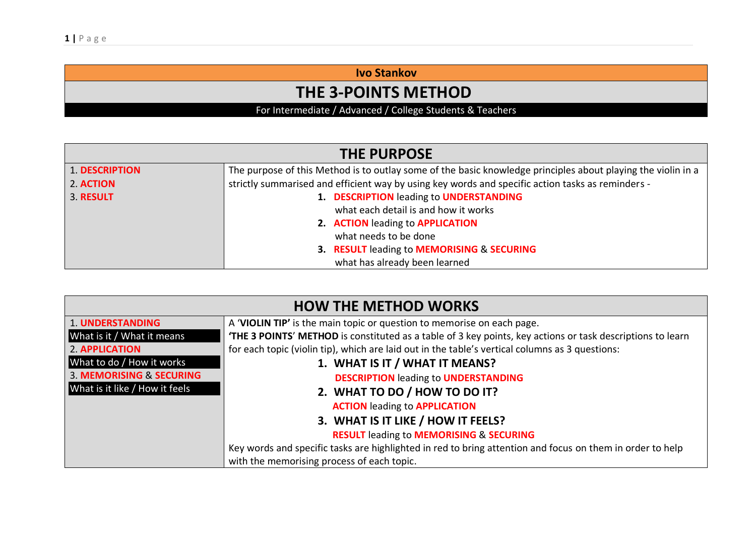**Ivo Stankov**

## **THE 3-POINTS METHOD**

For Intermediate / Advanced / College Students & Teachers

| <b>THE PURPOSE</b>    |                                                                                                              |  |
|-----------------------|--------------------------------------------------------------------------------------------------------------|--|
| <b>1. DESCRIPTION</b> | The purpose of this Method is to outlay some of the basic knowledge principles about playing the violin in a |  |
| 2. ACTION             | strictly summarised and efficient way by using key words and specific action tasks as reminders -            |  |
| 3. RESULT             | 1. DESCRIPTION leading to UNDERSTANDING                                                                      |  |
|                       | what each detail is and how it works                                                                         |  |
|                       | 2. ACTION leading to APPLICATION                                                                             |  |
|                       | what needs to be done                                                                                        |  |
|                       | 3. RESULT leading to MEMORISING & SECURING                                                                   |  |
|                       | what has already been learned                                                                                |  |

| <b>HOW THE METHOD WORKS</b>         |                                                                                                            |  |
|-------------------------------------|------------------------------------------------------------------------------------------------------------|--|
| <b>1. UNDERSTANDING</b>             | A 'VIOLIN TIP' is the main topic or question to memorise on each page.                                     |  |
| What is it / What it means          | 'THE 3 POINTS' METHOD is constituted as a table of 3 key points, key actions or task descriptions to learn |  |
| <b>2. APPLICATION</b>               | for each topic (violin tip), which are laid out in the table's vertical columns as 3 questions:            |  |
| What to do / How it works           | 1. WHAT IS IT / WHAT IT MEANS?                                                                             |  |
| <b>3. MEMORISING &amp; SECURING</b> | <b>DESCRIPTION leading to UNDERSTANDING</b>                                                                |  |
| What is it like / How it feels      | 2. WHAT TO DO / HOW TO DO IT?                                                                              |  |
|                                     | <b>ACTION leading to APPLICATION</b>                                                                       |  |
|                                     | 3. WHAT IS IT LIKE / HOW IT FEELS?                                                                         |  |
|                                     | <b>RESULT leading to MEMORISING &amp; SECURING</b>                                                         |  |
|                                     | Key words and specific tasks are highlighted in red to bring attention and focus on them in order to help  |  |
|                                     | with the memorising process of each topic.                                                                 |  |